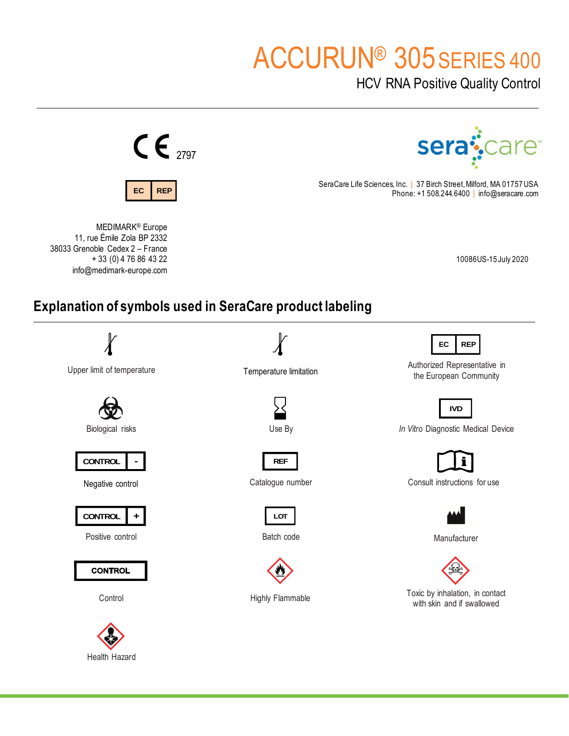# ACCURUN® 305SERIES 400

HCV RNA Positive Quality Control



Health Hazard